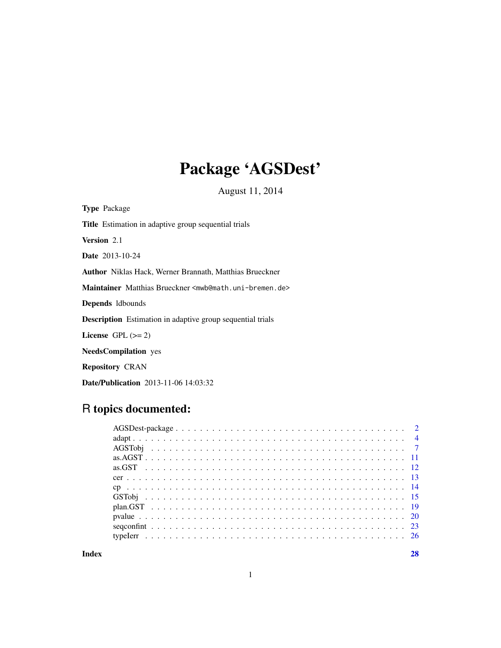## Package 'AGSDest'

August 11, 2014

Type Package Title Estimation in adaptive group sequential trials Version 2.1 Date 2013-10-24 Author Niklas Hack, Werner Brannath, Matthias Brueckner Maintainer Matthias Brueckner <mwb@math.uni-bremen.de> Depends ldbounds Description Estimation in adaptive group sequential trials License GPL  $(>= 2)$ NeedsCompilation yes Repository CRAN Date/Publication 2013-11-06 14:03:32

## R topics documented:

**Index** [28](#page-27-0) and 2012, the contract of the contract of the contract of the contract of the contract of the contract of the contract of the contract of the contract of the contract of the contract of the contract of the contr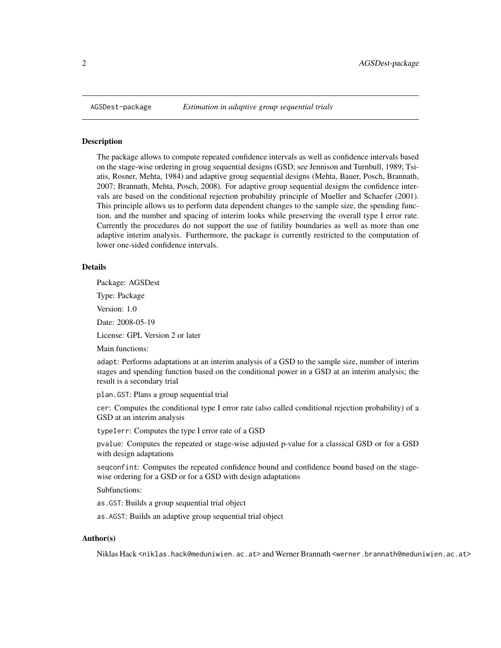<span id="page-1-0"></span>

#### Description

The package allows to compute repeated confidence intervals as well as confidence intervals based on the stage-wise ordering in groug sequential designs (GSD; see Jennison and Turnbull, 1989; Tsiatis, Rosner, Mehta, 1984) and adaptive groug sequential designs (Mehta, Bauer, Posch, Brannath, 2007; Brannath, Mehta, Posch, 2008). For adaptive group sequential designs the confidence intervals are based on the conditional rejection probability principle of Mueller and Schaefer (2001). This principle allows us to perform data dependent changes to the sample size, the spending function, and the number and spacing of interim looks while preserving the overall type I error rate. Currently the procedures do not support the use of futility boundaries as well as more than one adaptive interim analysis. Furthermore, the package is currently restricted to the computation of lower one-sided confidence intervals.

### Details

Package: AGSDest

Type: Package

Version: 1.0

Date: 2008-05-19

License: GPL Version 2 or later

Main functions:

adapt: Performs adaptations at an interim analysis of a GSD to the sample size, number of interim stages and spending function based on the conditional power in a GSD at an interim analysis; the result is a secondary trial

plan.GST: Plans a group sequential trial

cer: Computes the conditional type I error rate (also called conditional rejection probability) of a GSD at an interim analysis

typeIerr: Computes the type I error rate of a GSD

pvalue: Computes the repeated or stage-wise adjusted p-value for a classical GSD or for a GSD with design adaptations

seqconfint: Computes the repeated confidence bound and confidence bound based on the stagewise ordering for a GSD or for a GSD with design adaptations

Subfunctions:

as.GST: Builds a group sequential trial object

as.AGST: Builds an adaptive group sequential trial object

## Author(s)

Niklas Hack <niklas.hack@meduniwien.ac.at> and Werner Brannath <werner.brannath@meduniwien.ac.at>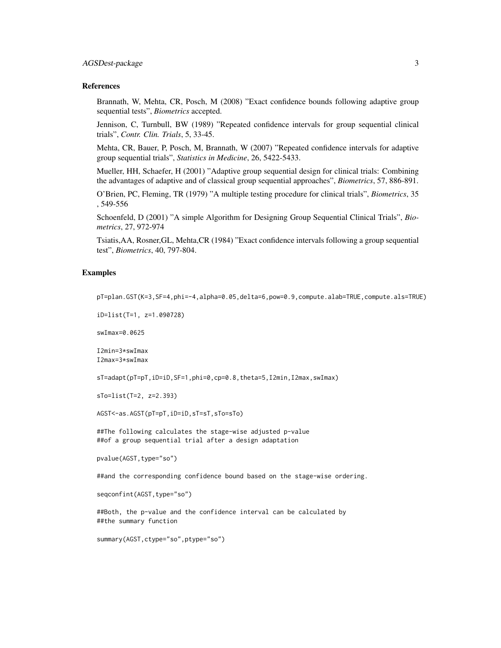#### References

Brannath, W, Mehta, CR, Posch, M (2008) "Exact confidence bounds following adaptive group sequential tests", *Biometrics* accepted.

Jennison, C, Turnbull, BW (1989) "Repeated confidence intervals for group sequential clinical trials", *Contr. Clin. Trials*, 5, 33-45.

Mehta, CR, Bauer, P, Posch, M, Brannath, W (2007) "Repeated confidence intervals for adaptive group sequential trials", *Statistics in Medicine*, 26, 5422-5433.

Mueller, HH, Schaefer, H (2001) "Adaptive group sequential design for clinical trials: Combining the advantages of adaptive and of classical group sequential approaches", *Biometrics*, 57, 886-891.

O'Brien, PC, Fleming, TR (1979) "A multiple testing procedure for clinical trials", *Biometrics*, 35 , 549-556

Schoenfeld, D (2001) "A simple Algorithm for Designing Group Sequential Clinical Trials", *Biometrics*, 27, 972-974

Tsiatis,AA, Rosner,GL, Mehta,CR (1984) "Exact confidence intervals following a group sequential test", *Biometrics*, 40, 797-804.

## Examples

pT=plan.GST(K=3,SF=4,phi=-4,alpha=0.05,delta=6,pow=0.9,compute.alab=TRUE,compute.als=TRUE)

```
iD=list(T=1, z=1.090728)
```
swImax=0.0625

I2min=3\*swImax I2max=3\*swImax

sT=adapt(pT=pT,iD=iD,SF=1,phi=0,cp=0.8,theta=5,I2min,I2max,swImax)

sTo=list(T=2, z=2.393)

AGST<-as.AGST(pT=pT,iD=iD,sT=sT,sTo=sTo)

##The following calculates the stage-wise adjusted p-value ##of a group sequential trial after a design adaptation

pvalue(AGST, type="so")

##and the corresponding confidence bound based on the stage-wise ordering.

seqconfint(AGST, type="so")

##Both, the p-value and the confidence interval can be calculated by ##the summary function

summary(AGST,ctype="so",ptype="so")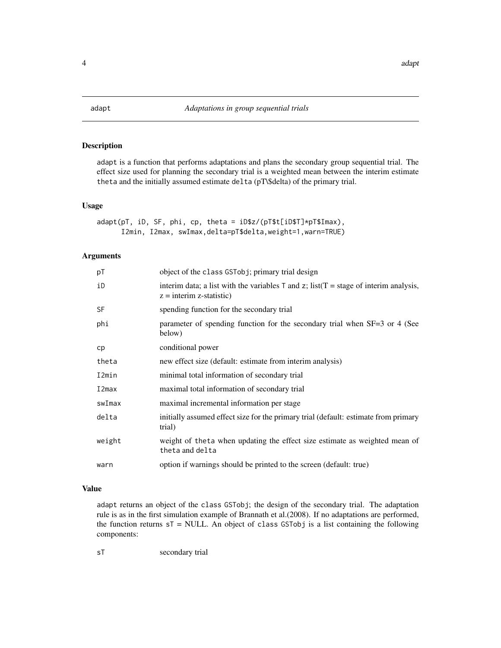<span id="page-3-0"></span>

## Description

adapt is a function that performs adaptations and plans the secondary group sequential trial. The effect size used for planning the secondary trial is a weighted mean between the interim estimate theta and the initially assumed estimate delta (pT\\$delta) of the primary trial.

#### Usage

adapt(pT, iD, SF, phi, cp, theta = iD\$z/(pT\$t[iD\$T]\*pT\$Imax), I2min, I2max, swImax,delta=pT\$delta,weight=1,warn=TRUE)

## Arguments

| pT        | object of the class GSTobj; primary trial design                                                                                 |
|-----------|----------------------------------------------------------------------------------------------------------------------------------|
| iD        | interim data; a list with the variables $\top$ and $z$ ; list( $\top$ = stage of interim analysis,<br>$z =$ interim z-statistic) |
| <b>SF</b> | spending function for the secondary trial                                                                                        |
| phi       | parameter of spending function for the secondary trial when SF=3 or 4 (See<br>below)                                             |
| cp        | conditional power                                                                                                                |
| theta     | new effect size (default: estimate from interim analysis)                                                                        |
| I2min     | minimal total information of secondary trial                                                                                     |
| I2max     | maximal total information of secondary trial                                                                                     |
| swImax    | maximal incremental information per stage                                                                                        |
| delta     | initially assumed effect size for the primary trial (default: estimate from primary<br>trial)                                    |
| weight    | weight of the ta when updating the effect size estimate as weighted mean of<br>theta and delta                                   |
| warn      | option if warnings should be printed to the screen (default: true)                                                               |

## Value

adapt returns an object of the class GSTobj; the design of the secondary trial. The adaptation rule is as in the first simulation example of Brannath et al.(2008). If no adaptations are performed, the function returns  $sT = NULL$ . An object of class GSTobj is a list containing the following components:

sT secondary trial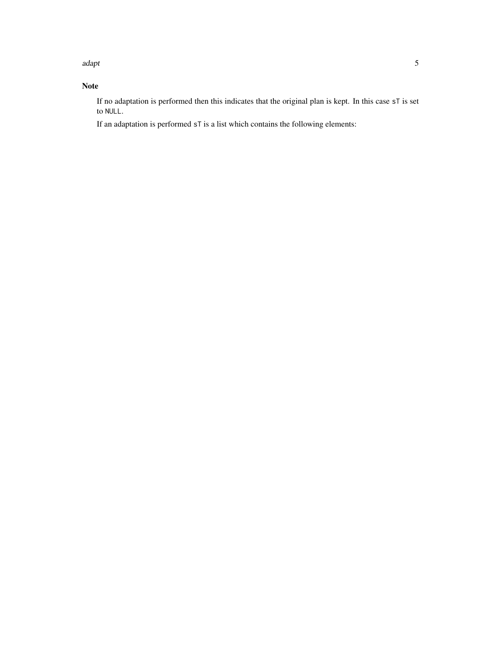adapt 5 and 5 and 5 and 5 and 5 and 5 and 5 and 5 and 5 and 5 and 5 and 5 and 5 and 5 and 5 and 5 and 5 and 5 and 5 and 5 and 5 and 5 and 5 and 5 and 5 and 5 and 5 and 5 and 5 and 5 and 5 and 5 and 5 and 5 and 5 and 5 and

## Note

If no adaptation is performed then this indicates that the original plan is kept. In this case sT is set to NULL.

If an adaptation is performed sT is a list which contains the following elements: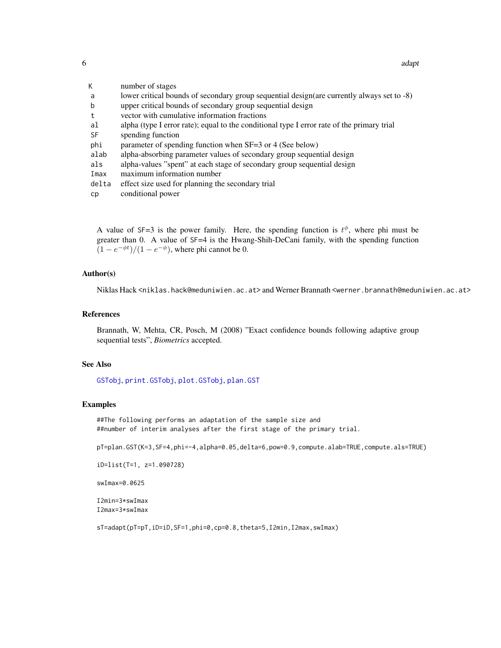6 adaptation of the contract of the contract of the contract of the contract of the contract of the contract of the contract of the contract of the contract of the contract of the contract of the contract of the contract o

| К     | number of stages                                                                            |
|-------|---------------------------------------------------------------------------------------------|
| a     | lower critical bounds of secondary group sequential design (are currently always set to -8) |
| b     | upper critical bounds of secondary group sequential design                                  |
| t     | vector with cumulative information fractions                                                |
| al    | alpha (type I error rate); equal to the conditional type I error rate of the primary trial  |
| SF    | spending function                                                                           |
| phi   | parameter of spending function when SF=3 or 4 (See below)                                   |
| alab  | alpha-absorbing parameter values of secondary group sequential design                       |
| als   | alpha-values "spent" at each stage of secondary group sequential design                     |
| Imax  | maximum information number                                                                  |
| delta | effect size used for planning the secondary trial                                           |
| cp    | conditional power                                                                           |

A value of SF=3 is the power family. Here, the spending function is  $t^{\phi}$ , where phi must be greater than 0. A value of SF=4 is the Hwang-Shih-DeCani family, with the spending function  $(1 - e^{-\phi t})/(1 - e^{-\phi})$ , where phi cannot be 0.

## Author(s)

Niklas Hack <niklas.hack@meduniwien.ac.at> and Werner Brannath <werner.brannath@meduniwien.ac.at>

## References

Brannath, W, Mehta, CR, Posch, M (2008) "Exact confidence bounds following adaptive group sequential tests", *Biometrics* accepted.

## See Also

[GSTobj](#page-14-1), [print.GSTobj](#page-14-2), [plot.GSTobj](#page-14-2), [plan.GST](#page-18-1)

## Examples

##The following performs an adaptation of the sample size and ##number of interim analyses after the first stage of the primary trial.

pT=plan.GST(K=3,SF=4,phi=-4,alpha=0.05,delta=6,pow=0.9,compute.alab=TRUE,compute.als=TRUE)

```
iD=list(T=1, z=1.090728)
```
swImax=0.0625

I2min=3\*swImax I2max=3\*swImax

sT=adapt(pT=pT,iD=iD,SF=1,phi=0,cp=0.8,theta=5,I2min,I2max,swImax)

<span id="page-5-0"></span>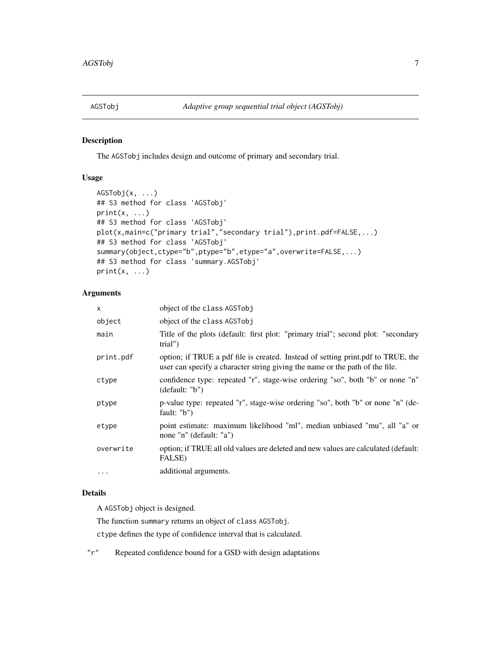<span id="page-6-1"></span><span id="page-6-0"></span>

## <span id="page-6-2"></span>Description

The AGSTobj includes design and outcome of primary and secondary trial.

## Usage

```
AGSTobj(x, ...)
## S3 method for class 'AGSTobj'
print(x, \ldots)## S3 method for class 'AGSTobj'
plot(x,main=c("primary trial","secondary trial"),print.pdf=FALSE,...)
## S3 method for class 'AGSTobj'
summary(object,ctype="b",ptype="b",etype="a",overwrite=FALSE,...)
## S3 method for class 'summary.AGSTobj'
print(x, \ldots)
```
## Arguments

| X         | object of the class AGSTobj                                                                                                                                      |
|-----------|------------------------------------------------------------------------------------------------------------------------------------------------------------------|
| object    | object of the class AGSTobj                                                                                                                                      |
| main      | Title of the plots (default: first plot: "primary trial"; second plot: "secondary<br>trial")                                                                     |
| print.pdf | option; if TRUE a pdf file is created. Instead of setting print.pdf to TRUE, the<br>user can specify a character string giving the name or the path of the file. |
| ctype     | confidence type: repeated "r", stage-wise ordering "so", both "b" or none "n"<br>(detault: "b")                                                                  |
| ptype     | p-value type: repeated "r", stage-wise ordering "so", both "b" or none "n" (de-<br>fault: $"b"$                                                                  |
| etype     | point estimate: maximum likelihood "ml", median unbiased "mu", all "a" or<br>none "n" (default: "a")                                                             |
| overwrite | option; if TRUE all old values are deleted and new values are calculated (default:<br><b>FALSE</b> )                                                             |
| $\cdots$  | additional arguments.                                                                                                                                            |

## Details

A AGSTobj object is designed.

The function summary returns an object of class AGSTobj.

ctype defines the type of confidence interval that is calculated.

"r" Repeated confidence bound for a GSD with design adaptations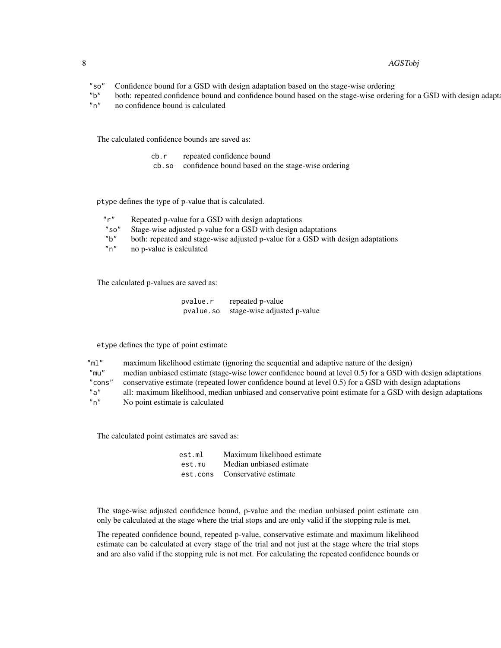#### 8 AGSTobj

- "so" Confidence bound for a GSD with design adaptation based on the stage-wise ordering
- "b" both: repeated confidence bound and confidence bound based on the stage-wise ordering for a GSD with design adaptations
- "n" no confidence bound is calculated

The calculated confidence bounds are saved as:

| cb.r | repeated confidence bound                               |
|------|---------------------------------------------------------|
|      | cb.so confidence bound based on the stage-wise ordering |

ptype defines the type of p-value that is calculated.

| "r"  | Repeated p-value for a GSD with design adaptations                               |
|------|----------------------------------------------------------------------------------|
| "so" | Stage-wise adjusted p-value for a GSD with design adaptations                    |
| "b"  | both: repeated and stage-wise adjusted p-value for a GSD with design adaptations |
| "n"  | no p-value is calculated                                                         |
|      |                                                                                  |

The calculated p-values are saved as:

| pvalue.r  | repeated p-value            |
|-----------|-----------------------------|
| pvalue.so | stage-wise adjusted p-value |

etype defines the type of point estimate

"ml" maximum likelihood estimate (ignoring the sequential and adaptive nature of the design) "mu" median unbiased estimate (stage-wise lower confidence bound at level 0.5) for a GSD with design adaptations "cons" conservative estimate (repeated lower confidence bound at level 0.5) for a GSD with design adaptations<br>"a" all: maximum likelihood, median unbiased and conservative point estimate for a GSD with design adapt all: maximum likelihood, median unbiased and conservative point estimate for a GSD with design adaptations "n" No point estimate is calculated

The calculated point estimates are saved as:

| est.ml | Maximum likelihood estimate    |
|--------|--------------------------------|
| est.mu | Median unbiased estimate       |
|        | est.cons Conservative estimate |

The stage-wise adjusted confidence bound, p-value and the median unbiased point estimate can only be calculated at the stage where the trial stops and are only valid if the stopping rule is met.

The repeated confidence bound, repeated p-value, conservative estimate and maximum likelihood estimate can be calculated at every stage of the trial and not just at the stage where the trial stops and are also valid if the stopping rule is not met. For calculating the repeated confidence bounds or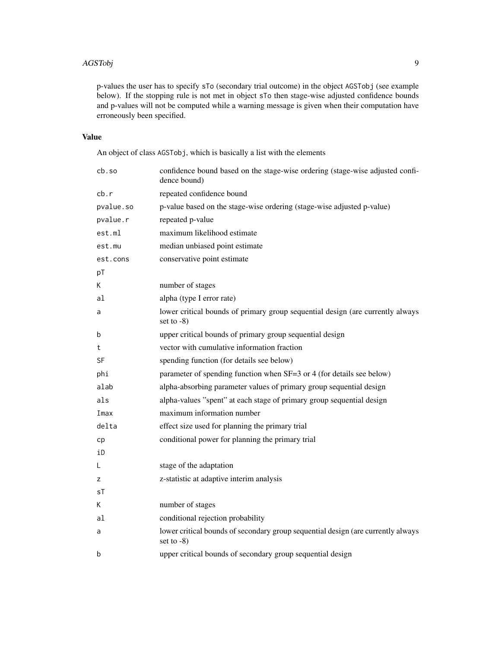#### AGSTobj 9

p-values the user has to specify sTo (secondary trial outcome) in the object AGSTobj (see example below). If the stopping rule is not met in object sTo then stage-wise adjusted confidence bounds and p-values will not be computed while a warning message is given when their computation have erroneously been specified.

## Value

An object of class AGSTobj, which is basically a list with the elements

| cb.so     | confidence bound based on the stage-wise ordering (stage-wise adjusted confi-<br>dence bound)     |
|-----------|---------------------------------------------------------------------------------------------------|
| cb.r      | repeated confidence bound                                                                         |
| pvalue.so | p-value based on the stage-wise ordering (stage-wise adjusted p-value)                            |
| pvalue.r  | repeated p-value                                                                                  |
| est.ml    | maximum likelihood estimate                                                                       |
| est.mu    | median unbiased point estimate                                                                    |
| est.cons  | conservative point estimate                                                                       |
| pT        |                                                                                                   |
| К         | number of stages                                                                                  |
| al        | alpha (type I error rate)                                                                         |
| a         | lower critical bounds of primary group sequential design (are currently always<br>set to $-8$ )   |
| b         | upper critical bounds of primary group sequential design                                          |
| t         | vector with cumulative information fraction                                                       |
| SF        | spending function (for details see below)                                                         |
| phi       | parameter of spending function when SF=3 or 4 (for details see below)                             |
| alab      | alpha-absorbing parameter values of primary group sequential design                               |
| als       | alpha-values "spent" at each stage of primary group sequential design                             |
| Imax      | maximum information number                                                                        |
| delta     | effect size used for planning the primary trial                                                   |
| cp        | conditional power for planning the primary trial                                                  |
| iD        |                                                                                                   |
| L         | stage of the adaptation                                                                           |
| z         | z-statistic at adaptive interim analysis                                                          |
| sT        |                                                                                                   |
| K         | number of stages                                                                                  |
| al        | conditional rejection probability                                                                 |
| a         | lower critical bounds of secondary group sequential design (are currently always<br>set to $-8$ ) |
| b         | upper critical bounds of secondary group sequential design                                        |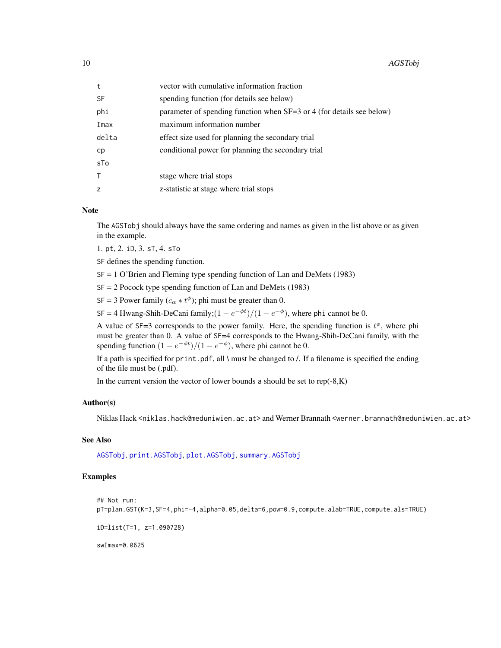<span id="page-9-0"></span>

| t     | vector with cumulative information fraction                           |
|-------|-----------------------------------------------------------------------|
| SF    | spending function (for details see below)                             |
| phi   | parameter of spending function when SF=3 or 4 (for details see below) |
| Imax  | maximum information number                                            |
| delta | effect size used for planning the secondary trial                     |
| cp    | conditional power for planning the secondary trial                    |
| sTo   |                                                                       |
|       | stage where trial stops                                               |
| z     | z-statistic at stage where trial stops                                |

#### Note

The AGSTobj should always have the same ordering and names as given in the list above or as given in the example.

1. pt, 2. iD, 3. sT, 4. sTo

SF defines the spending function.

SF = 1 O'Brien and Fleming type spending function of Lan and DeMets (1983)

SF = 2 Pocock type spending function of Lan and DeMets (1983)

SF = 3 Power family  $(c_{\alpha} * t^{\phi})$ ; phi must be greater than 0.

SF = 4 Hwang-Shih-DeCani family; $(1 - e^{-\phi t})/(1 - e^{-\phi})$ , where phi cannot be 0.

A value of SF=3 corresponds to the power family. Here, the spending function is  $t^{\phi}$ , where phi must be greater than 0. A value of  $SF=4$  corresponds to the Hwang-Shih-DeCani family, with the spending function  $(1 - e^{-\phi t})/(1 - e^{-\phi})$ , where phi cannot be 0.

If a path is specified for print.pdf, all \ must be changed to /. If a filename is specified the ending of the file must be (.pdf).

In the current version the vector of lower bounds a should be set to  $rep(-8,K)$ 

## Author(s)

Niklas Hack <niklas.hack@meduniwien.ac.at> and Werner Brannath <werner.brannath@meduniwien.ac.at>

## See Also

[AGSTobj](#page-6-1), [print.AGSTobj](#page-6-2), [plot.AGSTobj](#page-6-2), [summary.AGSTobj](#page-6-2)

## Examples

```
## Not run:
pT=plan.GST(K=3,SF=4,phi=-4,alpha=0.05,delta=6,pow=0.9,compute.alab=TRUE,compute.als=TRUE)
```
iD=list(T=1, z=1.090728)

swImax=0.0625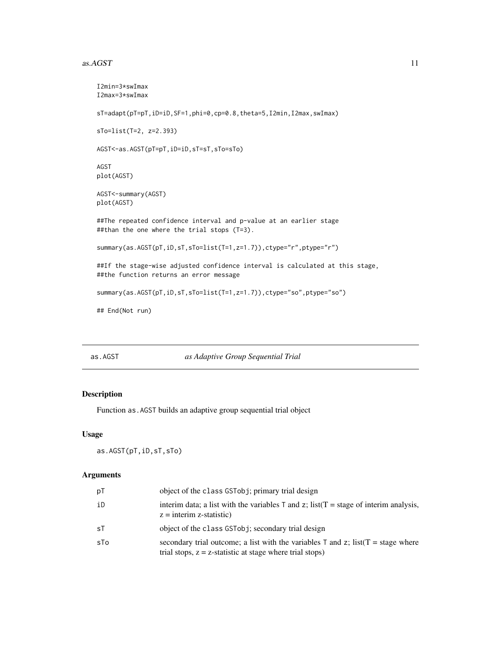#### <span id="page-10-0"></span> $as. AGST$  11

```
I2min=3*swImax
I2max=3*swImax
sT=adapt(pT=pT,iD=iD,SF=1,phi=0,cp=0.8,theta=5,I2min,I2max,swImax)
sTo=list(T=2, z=2.393)
AGST<-as.AGST(pT=pT,iD=iD,sT=sT,sTo=sTo)
AGST
plot(AGST)
AGST<-summary(AGST)
plot(AGST)
##The repeated confidence interval and p-value at an earlier stage
##than the one where the trial stops (T=3).
summary(as.AGST(pT,iD,sT,sTo=list(T=1,z=1.7)),ctype="r",ptype="r")
##If the stage-wise adjusted confidence interval is calculated at this stage,
##the function returns an error message
summary(as.AGST(pT,iD,sT,sTo=list(T=1,z=1.7)),ctype="so",ptype="so")
## End(Not run)
```
as.AGST *as Adaptive Group Sequential Trial*

## Description

Function as.AGST builds an adaptive group sequential trial object

#### Usage

as.AGST(pT,iD,sT,sTo)

#### Arguments

| рT  | object of the class GSTobj; primary trial design                                                                                                   |
|-----|----------------------------------------------------------------------------------------------------------------------------------------------------|
| iD  | interim data; a list with the variables $\top$ and $z$ ; list( $\top$ = stage of interim analysis,<br>$z =$ interim z-statistic)                   |
| sT  | object of the class GSTobj; secondary trial design                                                                                                 |
| sTo | secondary trial outcome; a list with the variables T and z; list $(T = stage where$<br>trial stops, $z = z$ -statistic at stage where trial stops) |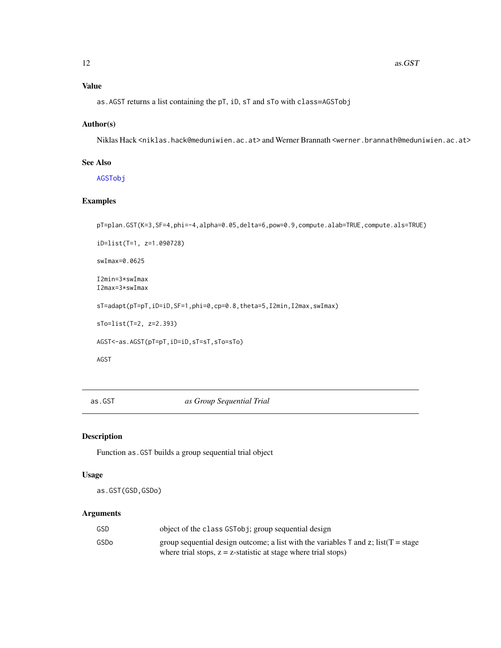## <span id="page-11-0"></span>Value

as.AGST returns a list containing the pT, iD, sT and sTo with class=AGSTobj

## Author(s)

Niklas Hack <niklas.hack@meduniwien.ac.at> and Werner Brannath <werner.brannath@meduniwien.ac.at>

## See Also

[AGSTobj](#page-6-1)

## Examples

```
pT=plan.GST(K=3,SF=4,phi=-4,alpha=0.05,delta=6,pow=0.9,compute.alab=TRUE,compute.als=TRUE)
iD=list(T=1, z=1.090728)
swImax=0.0625
I2min=3*swImax
I2max=3*swImax
sT=adapt(pT=pT,iD=iD,SF=1,phi=0,cp=0.8,theta=5,I2min,I2max,swImax)
sTo=list(T=2, z=2.393)
AGST<-as.AGST(pT=pT,iD=iD,sT=sT,sTo=sTo)
AGST
```
as.GST *as Group Sequential Trial*

## Description

Function as.GST builds a group sequential trial object

#### Usage

as.GST(GSD,GSDo)

## Arguments

| GSD  | object of the class GSTobj; group sequential design                                                                                                                                          |
|------|----------------------------------------------------------------------------------------------------------------------------------------------------------------------------------------------|
| GSDo | group sequential design outcome; a list with the variables $\bar{\tau}$ and $\bar{z}$ ; list $(\bar{T} = \text{stage})$<br>where trial stops, $z = z$ -statistic at stage where trial stops) |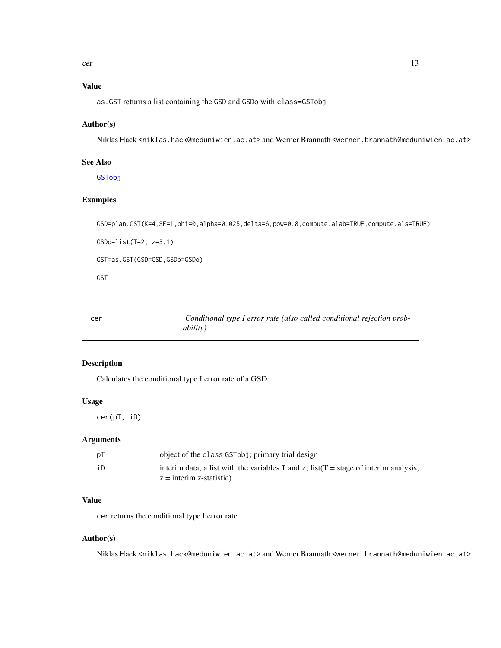## <span id="page-12-0"></span>Value

as.GST returns a list containing the GSD and GSDo with class=GSTobj

## Author(s)

Niklas Hack <niklas.hack@meduniwien.ac.at> and Werner Brannath <werner.brannath@meduniwien.ac.at>

## See Also

[GSTobj](#page-14-1)

## Examples

```
GSD=plan.GST(K=4,SF=1,phi=0,alpha=0.025,delta=6,pow=0.8,compute.alab=TRUE,compute.als=TRUE)
```
GSDo=list(T=2, z=3.1)

GST=as.GST(GSD=GSD,GSDo=GSDo)

GST

cer *Conditional type I error rate (also called conditional rejection probability)*

## Description

Calculates the conditional type I error rate of a GSD

## Usage

cer(pT, iD)

## Arguments

| рT | object of the class GSTobj; primary trial design                                                   |
|----|----------------------------------------------------------------------------------------------------|
| iD | interim data; a list with the variables $\top$ and $z$ ; list( $\top$ = stage of interim analysis, |
|    | $z =$ interim z-statistic)                                                                         |

## Value

cer returns the conditional type I error rate

## Author(s)

Niklas Hack <niklas.hack@meduniwien.ac.at> and Werner Brannath <werner.brannath@meduniwien.ac.at>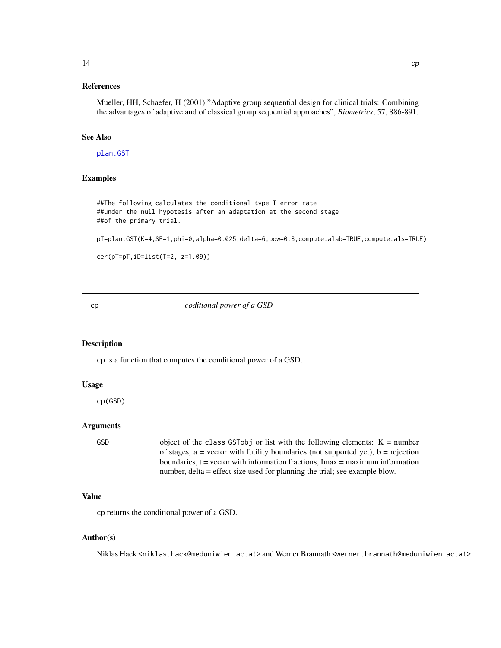## <span id="page-13-0"></span>References

Mueller, HH, Schaefer, H (2001) "Adaptive group sequential design for clinical trials: Combining the advantages of adaptive and of classical group sequential approaches", *Biometrics*, 57, 886-891.

## See Also

[plan.GST](#page-18-1)

## Examples

##The following calculates the conditional type I error rate ##under the null hypotesis after an adaptation at the second stage ##of the primary trial.

pT=plan.GST(K=4,SF=1,phi=0,alpha=0.025,delta=6,pow=0.8,compute.alab=TRUE,compute.als=TRUE)

```
cer(pT=pT,iD=list(T=2, z=1.09))
```
cp *coditional power of a GSD*

#### Description

cp is a function that computes the conditional power of a GSD.

#### Usage

cp(GSD)

## Arguments

GSD object of the class GSTobj or list with the following elements:  $K =$  number of stages,  $a =$  vector with futility boundaries (not supported yet),  $b =$  rejection boundaries,  $t = vector$  with information fractions, Imax = maximum information number, delta = effect size used for planning the trial; see example blow.

#### Value

cp returns the conditional power of a GSD.

#### Author(s)

Niklas Hack <niklas.hack@meduniwien.ac.at> and Werner Brannath <werner.brannath@meduniwien.ac.at>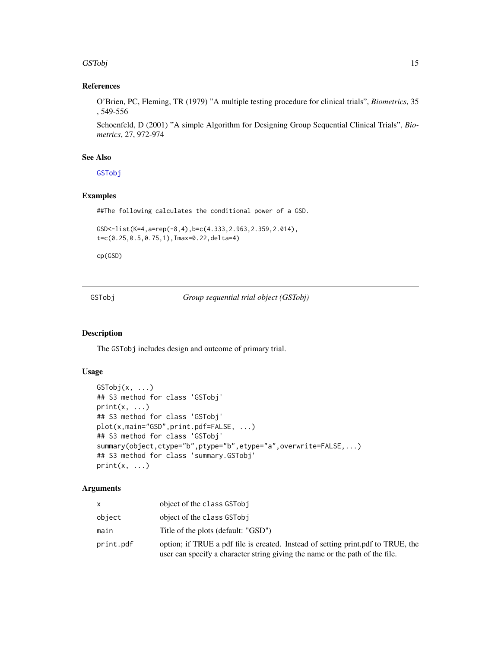#### <span id="page-14-0"></span>GSTobj 15

## References

O'Brien, PC, Fleming, TR (1979) "A multiple testing procedure for clinical trials", *Biometrics*, 35 , 549-556

Schoenfeld, D (2001) "A simple Algorithm for Designing Group Sequential Clinical Trials", *Biometrics*, 27, 972-974

## See Also

**[GSTobj](#page-14-1)** 

## Examples

##The following calculates the conditional power of a GSD.

```
GSD<-list(K=4,a=rep(-8,4),b=c(4.333,2.963,2.359,2.014),
t=c(0.25,0.5,0.75,1),Imax=0.22,delta=4)
```
cp(GSD)

<span id="page-14-1"></span>GSTobj *Group sequential trial object (GSTobj)*

## <span id="page-14-2"></span>Description

The GSTobj includes design and outcome of primary trial.

## Usage

```
GSTobj(x, ...)
## S3 method for class 'GSTobj'
print(x, \ldots)## S3 method for class 'GSTobj'
plot(x,main="GSD",print.pdf=FALSE, ...)
## S3 method for class 'GSTobj'
summary(object,ctype="b",ptype="b",etype="a",overwrite=FALSE,...)
## S3 method for class 'summary.GSTobj'
print(x, \ldots)
```
#### Arguments

|           | object of the class GSTobj                                                                                                                                       |
|-----------|------------------------------------------------------------------------------------------------------------------------------------------------------------------|
| object    | object of the class GSTobj                                                                                                                                       |
| main      | Title of the plots (default: "GSD")                                                                                                                              |
| print.pdf | option; if TRUE a pdf file is created. Instead of setting print.pdf to TRUE, the<br>user can specify a character string giving the name or the path of the file. |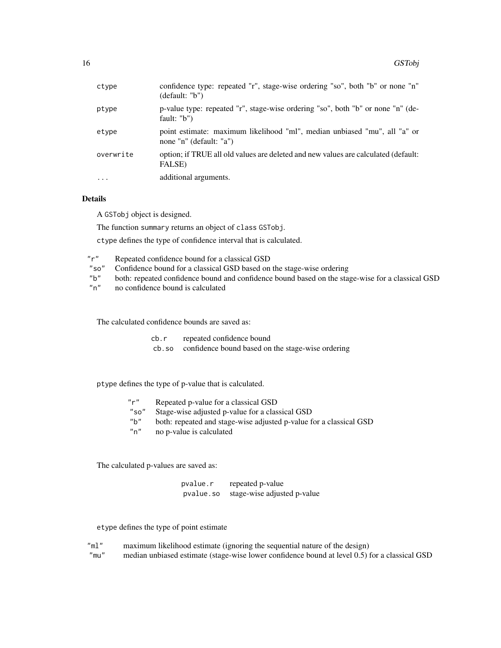| ctype     | confidence type: repeated "r", stage-wise ordering "so", both "b" or none "n"<br>(detault: "b")      |
|-----------|------------------------------------------------------------------------------------------------------|
| ptype     | p-value type: repeated "r", stage-wise ordering "so", both "b" or none "n" (de-<br>fault: $"b"$ )    |
| etype     | point estimate: maximum likelihood "ml", median unbiased "mu", all "a" or<br>none "n" (default: "a") |
| overwrite | option; if TRUE all old values are deleted and new values are calculated (default:<br>FALSE)         |
| $\cdots$  | additional arguments.                                                                                |

## Details

A GSTobj object is designed.

The function summary returns an object of class GSTobj.

ctype defines the type of confidence interval that is calculated.

| "r" | Repeated confidence bound for a classical GSD                                                    |
|-----|--------------------------------------------------------------------------------------------------|
|     | "so" Confidence bound for a classical GSD based on the stage-wise ordering                       |
| "b" | both: repeated confidence bound and confidence bound based on the stage-wise for a classical GSD |

"n" no confidence bound is calculated

The calculated confidence bounds are saved as:

| cb.r | repeated confidence bound |
|------|---------------------------|
|------|---------------------------|

cb.so confidence bound based on the stage-wise ordering

ptype defines the type of p-value that is calculated.

| Repeated p-value for a classical GSD                               |
|--------------------------------------------------------------------|
| Stage-wise adjusted p-value for a classical GSD                    |
| both: repeated and stage-wise adjusted p-value for a classical GSD |
| no p-value is calculated                                           |
|                                                                    |

The calculated p-values are saved as:

| pvalue.r  | repeated p-value            |
|-----------|-----------------------------|
| pvalue.so | stage-wise adjusted p-value |

etype defines the type of point estimate

| "ml" | maximum likelihood estimate (ignoring the sequential nature of the design)                    |
|------|-----------------------------------------------------------------------------------------------|
| "mu" | median unbiased estimate (stage-wise lower confidence bound at level 0.5) for a classical GSD |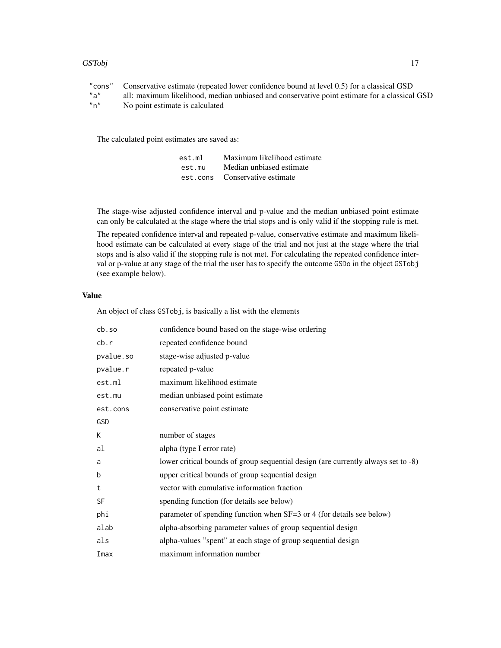#### GSTobj and the contract of the contract of the contract of the contract of the contract of the contract of the contract of the contract of the contract of the contract of the contract of the contract of the contract of the

"cons" Conservative estimate (repeated lower confidence bound at level 0.5) for a classical GSD all: maximum likelihood, median unbiased and conservative point estimate for a classical GSD "n" No point estimate is calculated

The calculated point estimates are saved as:

| est.ml | Maximum likelihood estimate    |
|--------|--------------------------------|
| est.mu | Median unbiased estimate       |
|        | est.cons Conservative estimate |

The stage-wise adjusted confidence interval and p-value and the median unbiased point estimate can only be calculated at the stage where the trial stops and is only valid if the stopping rule is met.

The repeated confidence interval and repeated p-value, conservative estimate and maximum likelihood estimate can be calculated at every stage of the trial and not just at the stage where the trial stops and is also valid if the stopping rule is not met. For calculating the repeated confidence interval or p-value at any stage of the trial the user has to specify the outcome GSDo in the object GSTobj (see example below).

#### Value

An object of class GSTobj, is basically a list with the elements

| cb.so     | confidence bound based on the stage-wise ordering                                 |
|-----------|-----------------------------------------------------------------------------------|
| cb.r      | repeated confidence bound                                                         |
| pvalue.so | stage-wise adjusted p-value                                                       |
| pvalue.r  | repeated p-value                                                                  |
| est.ml    | maximum likelihood estimate                                                       |
| est.mu    | median unbiased point estimate                                                    |
| est.cons  | conservative point estimate                                                       |
| GSD       |                                                                                   |
| K         | number of stages                                                                  |
| al        | alpha (type I error rate)                                                         |
| a         | lower critical bounds of group sequential design (are currently always set to -8) |
| b         | upper critical bounds of group sequential design                                  |
| t         | vector with cumulative information fraction                                       |
| <b>SF</b> | spending function (for details see below)                                         |
| phi       | parameter of spending function when SF=3 or 4 (for details see below)             |
| alab      | alpha-absorbing parameter values of group sequential design                       |
| als       | alpha-values "spent" at each stage of group sequential design                     |
| Imax      | maximum information number                                                        |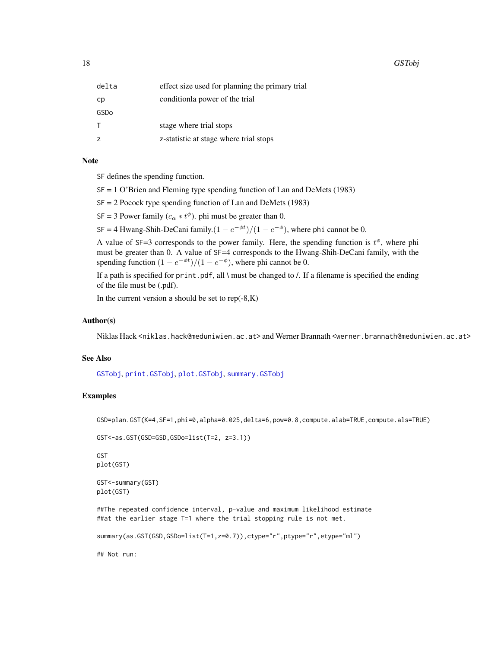<span id="page-17-0"></span>

| delta | effect size used for planning the primary trial |
|-------|-------------------------------------------------|
| cp    | conditionla power of the trial                  |
| GSDo  |                                                 |
| т     | stage where trial stops                         |
| z     | z-statistic at stage where trial stops          |

## Note

SF defines the spending function.

SF = 1 O'Brien and Fleming type spending function of Lan and DeMets (1983)

SF = 2 Pocock type spending function of Lan and DeMets (1983)

SF = 3 Power family ( $c_{\alpha} * t^{\phi}$ ). phi must be greater than 0.

SF = 4 Hwang-Shih-DeCani family. $(1 - e^{-\phi t})/(1 - e^{-\phi})$ , where phi cannot be 0.

A value of SF=3 corresponds to the power family. Here, the spending function is  $t^{\phi}$ , where phi must be greater than 0. A value of SF=4 corresponds to the Hwang-Shih-DeCani family, with the spending function  $(1 - e^{-\phi t})/(1 - e^{-\phi})$ , where phi cannot be 0.

If a path is specified for print.pdf, all \ must be changed to  $\Lambda$ . If a filename is specified the ending of the file must be (.pdf).

In the current version a should be set to  $rep(-8,K)$ 

#### Author(s)

Niklas Hack <niklas.hack@meduniwien.ac.at> and Werner Brannath <werner.brannath@meduniwien.ac.at>

### See Also

[GSTobj](#page-14-1), [print.GSTobj](#page-14-2), [plot.GSTobj](#page-14-2), [summary.GSTobj](#page-14-2)

## Examples

GSD=plan.GST(K=4,SF=1,phi=0,alpha=0.025,delta=6,pow=0.8,compute.alab=TRUE,compute.als=TRUE)

```
GST<-as.GST(GSD=GSD,GSDo=list(T=2, z=3.1))
```
GST plot(GST)

```
GST<-summary(GST)
plot(GST)
```
##The repeated confidence interval, p-value and maximum likelihood estimate ##at the earlier stage T=1 where the trial stopping rule is not met.

summary(as.GST(GSD,GSDo=list(T=1,z=0.7)),ctype="r",ptype="r",etype="ml")

## Not run: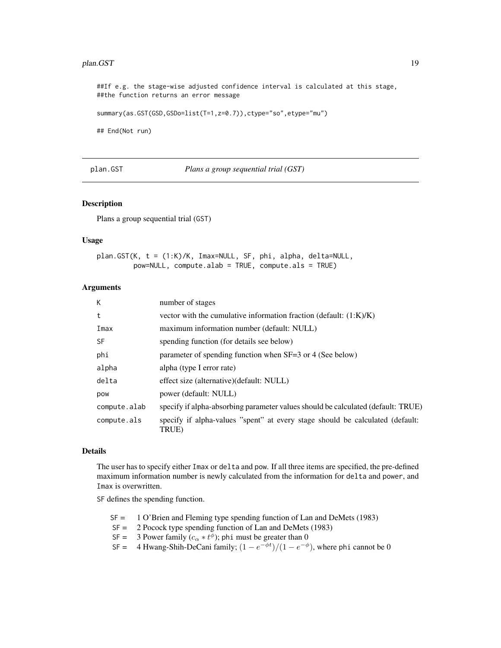#### <span id="page-18-0"></span>plan.GST 19

##If e.g. the stage-wise adjusted confidence interval is calculated at this stage, ##the function returns an error message

summary(as.GST(GSD,GSDo=list(T=1,z=0.7)),ctype="so",etype="mu")

## End(Not run)

<span id="page-18-1"></span>plan.GST *Plans a group sequential trial (GST)*

## Description

Plans a group sequential trial (GST)

#### Usage

```
plan.GST(K, t = (1:K)/K, Imax=NULL, SF, phi, alpha, delta=NULL,
        pow=NULL, compute.alab = TRUE, compute.als = TRUE)
```
#### **Arguments**

| К            | number of stages                                                                       |
|--------------|----------------------------------------------------------------------------------------|
| t            | vector with the cumulative information fraction (default: $(1:K)/K$ )                  |
| Imax         | maximum information number (default: NULL)                                             |
| <b>SF</b>    | spending function (for details see below)                                              |
| phi          | parameter of spending function when SF=3 or 4 (See below)                              |
| alpha        | alpha (type I error rate)                                                              |
| delta        | effect size (alternative) (default: NULL)                                              |
| pow          | power (default: NULL)                                                                  |
| compute.alab | specify if alpha-absorbing parameter values should be calculated (default: TRUE)       |
| compute.als  | specify if alpha-values "spent" at every stage should be calculated (default:<br>TRUE) |

#### Details

The user has to specify either Imax or delta and pow. If all three items are specified, the pre-defined maximum information number is newly calculated from the information for delta and power, and Imax is overwritten.

SF defines the spending function.

- SF = 1 O'Brien and Fleming type spending function of Lan and DeMets (1983)
- SF = 2 Pocock type spending function of Lan and DeMets (1983)
- SF = 3 Power family  $(c_{\alpha} * t^{\phi})$ ; phi must be greater than 0
- SF = 4 Hwang-Shih-DeCani family;  $(1 e^{-\phi t})/(1 e^{-\phi})$ , where phi cannot be 0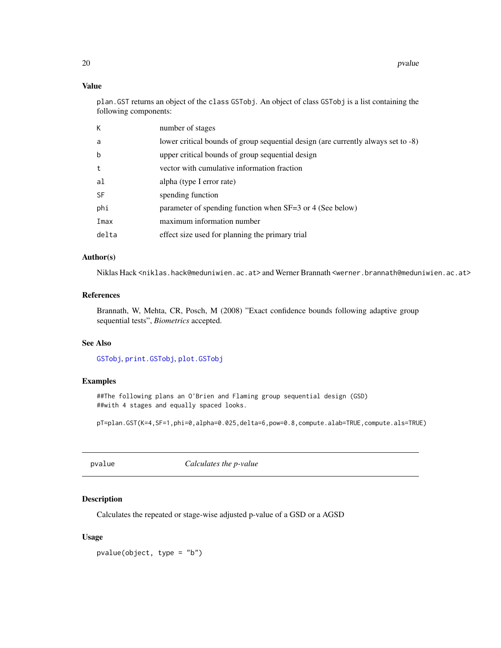## Value

plan.GST returns an object of the class GSTobj. An object of class GSTobj is a list containing the following components:

| К           | number of stages                                                                  |
|-------------|-----------------------------------------------------------------------------------|
| a           | lower critical bounds of group sequential design (are currently always set to -8) |
| $\mathbf b$ | upper critical bounds of group sequential design                                  |
| t           | vector with cumulative information fraction                                       |
| al          | alpha (type I error rate)                                                         |
| <b>SF</b>   | spending function                                                                 |
| phi         | parameter of spending function when SF=3 or 4 (See below)                         |
| Imax        | maximum information number                                                        |
| delta       | effect size used for planning the primary trial                                   |
|             |                                                                                   |

## Author(s)

Niklas Hack <niklas.hack@meduniwien.ac.at> and Werner Brannath <werner.brannath@meduniwien.ac.at>

## References

Brannath, W, Mehta, CR, Posch, M (2008) "Exact confidence bounds following adaptive group sequential tests", *Biometrics* accepted.

## See Also

[GSTobj](#page-14-1), [print.GSTobj](#page-14-2), [plot.GSTobj](#page-14-2)

## Examples

##The following plans an O'Brien and Flaming group sequential design (GSD) ##with 4 stages and equally spaced looks.

pT=plan.GST(K=4,SF=1,phi=0,alpha=0.025,delta=6,pow=0.8,compute.alab=TRUE,compute.als=TRUE)

pvalue *Calculates the p-value*

## Description

Calculates the repeated or stage-wise adjusted p-value of a GSD or a AGSD

## Usage

pvalue(object, type = "b")

<span id="page-19-0"></span>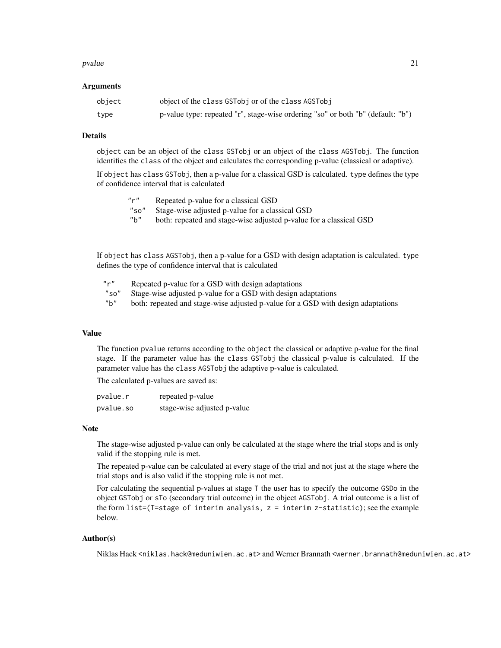#### pvalue 21 and 22 and 22 and 22 and 22 and 23 and 23 and 23 and 24 and 25 and 26 and 27 and 27 and 27 and 27 and 27 and 27 and 27 and 27 and 27 and 27 and 27 and 27 and 27 and 27 and 27 and 27 and 27 and 27 and 27 and 27 an

#### **Arguments**

| object | object of the class GSTobj or of the class AGSTobj                              |
|--------|---------------------------------------------------------------------------------|
| type   | p-value type: repeated "r", stage-wise ordering "so" or both "b" (default: "b") |

#### Details

object can be an object of the class GSTobj or an object of the class AGSTobj. The function identifies the class of the object and calculates the corresponding p-value (classical or adaptive).

If object has class GSTobj, then a p-value for a classical GSD is calculated. type defines the type of confidence interval that is calculated

| $^{\prime\prime}$ r $^{\prime\prime}$ | Repeated p-value for a classical GSD                               |
|---------------------------------------|--------------------------------------------------------------------|
| "so"                                  | Stage-wise adjusted p-value for a classical GSD                    |
| " $b"$                                | both: repeated and stage-wise adjusted p-value for a classical GSD |
|                                       |                                                                    |
|                                       |                                                                    |

If object has class AGSTobj, then a p-value for a GSD with design adaptation is calculated. type defines the type of confidence interval that is calculated

| "r"  | Repeated p-value for a GSD with design adaptations                               |
|------|----------------------------------------------------------------------------------|
| "so" | Stage-wise adjusted p-value for a GSD with design adaptations                    |
| "b"  | both: repeated and stage-wise adjusted p-value for a GSD with design adaptations |

## Value

The function pvalue returns according to the object the classical or adaptive p-value for the final stage. If the parameter value has the class GSTobj the classical p-value is calculated. If the parameter value has the class AGSTobj the adaptive p-value is calculated.

The calculated p-values are saved as:

| pvalue.r  | repeated p-value            |
|-----------|-----------------------------|
| pvalue.so | stage-wise adjusted p-value |

## Note

The stage-wise adjusted p-value can only be calculated at the stage where the trial stops and is only valid if the stopping rule is met.

The repeated p-value can be calculated at every stage of the trial and not just at the stage where the trial stops and is also valid if the stopping rule is not met.

For calculating the sequential p-values at stage T the user has to specify the outcome GSDo in the object GSTobj or sTo (secondary trial outcome) in the object AGSTobj. A trial outcome is a list of the form list=(T=stage of interim analysis, z = interim z-statistic); see the example below.

#### Author(s)

Niklas Hack <niklas.hack@meduniwien.ac.at> and Werner Brannath <werner.brannath@meduniwien.ac.at>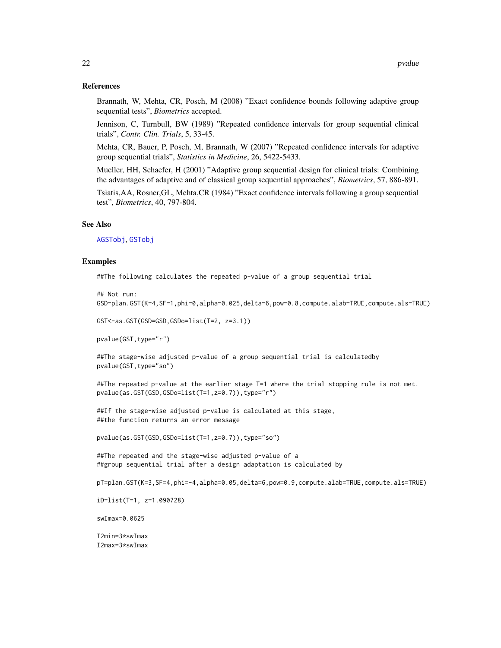#### <span id="page-21-0"></span>References

Brannath, W, Mehta, CR, Posch, M (2008) "Exact confidence bounds following adaptive group sequential tests", *Biometrics* accepted.

Jennison, C, Turnbull, BW (1989) "Repeated confidence intervals for group sequential clinical trials", *Contr. Clin. Trials*, 5, 33-45.

Mehta, CR, Bauer, P, Posch, M, Brannath, W (2007) "Repeated confidence intervals for adaptive group sequential trials", *Statistics in Medicine*, 26, 5422-5433.

Mueller, HH, Schaefer, H (2001) "Adaptive group sequential design for clinical trials: Combining the advantages of adaptive and of classical group sequential approaches", *Biometrics*, 57, 886-891.

Tsiatis,AA, Rosner,GL, Mehta,CR (1984) "Exact confidence intervals following a group sequential test", *Biometrics*, 40, 797-804.

#### See Also

[AGSTobj](#page-6-1), [GSTobj](#page-14-1)

#### Examples

##The following calculates the repeated p-value of a group sequential trial

```
## Not run:
GSD=plan.GST(K=4,SF=1,phi=0,alpha=0.025,delta=6,pow=0.8,compute.alab=TRUE,compute.als=TRUE)
```

```
GST<-as.GST(GSD=GSD,GSDo=list(T=2, z=3.1))
```
pvalue(GST,type="r")

##The stage-wise adjusted p-value of a group sequential trial is calculatedby pvalue(GST,type="so")

##The repeated p-value at the earlier stage T=1 where the trial stopping rule is not met. pvalue(as.GST(GSD,GSDo=list(T=1,z=0.7)),type="r")

##If the stage-wise adjusted p-value is calculated at this stage, ##the function returns an error message

pvalue(as.GST(GSD,GSDo=list(T=1,z=0.7)),type="so")

##The repeated and the stage-wise adjusted p-value of a ##group sequential trial after a design adaptation is calculated by

pT=plan.GST(K=3,SF=4,phi=-4,alpha=0.05,delta=6,pow=0.9,compute.alab=TRUE,compute.als=TRUE)

iD=list(T=1, z=1.090728)

swImax=0.0625

I2min=3\*swImax I2max=3\*swImax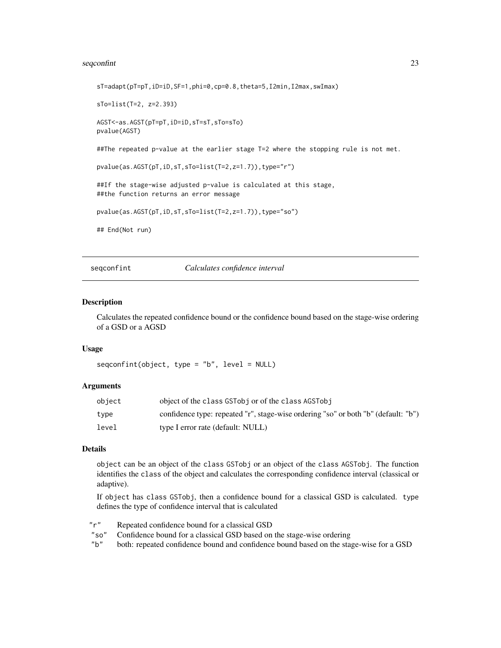## <span id="page-22-0"></span>seqconfint 23

sT=adapt(pT=pT,iD=iD,SF=1,phi=0,cp=0.8,theta=5,I2min,I2max,swImax) sTo=list(T=2, z=2.393) AGST<-as.AGST(pT=pT,iD=iD,sT=sT,sTo=sTo) pvalue(AGST) ##The repeated p-value at the earlier stage T=2 where the stopping rule is not met. pvalue(as.AGST(pT,iD,sT,sTo=list(T=2,z=1.7)),type="r") ##If the stage-wise adjusted p-value is calculated at this stage, ##the function returns an error message pvalue(as.AGST(pT,iD,sT,sTo=list(T=2,z=1.7)),type="so") ## End(Not run)

seqconfint *Calculates confidence interval*

#### Description

Calculates the repeated confidence bound or the confidence bound based on the stage-wise ordering of a GSD or a AGSD

#### Usage

seqconfint(object, type = "b", level = NULL)

#### Arguments

| object | object of the class GSTobj or of the class AGSTobj                                 |
|--------|------------------------------------------------------------------------------------|
| tvpe   | confidence type: repeated "r", stage-wise ordering "so" or both "b" (default: "b") |
| level  | type I error rate (default: NULL)                                                  |

## Details

object can be an object of the class GSTobj or an object of the class AGSTobj. The function identifies the class of the object and calculates the corresponding confidence interval (classical or adaptive).

If object has class GSTobj, then a confidence bound for a classical GSD is calculated. type defines the type of confidence interval that is calculated

"r" Repeated confidence bound for a classical GSD

"so" Confidence bound for a classical GSD based on the stage-wise ordering

"b" both: repeated confidence bound and confidence bound based on the stage-wise for a GSD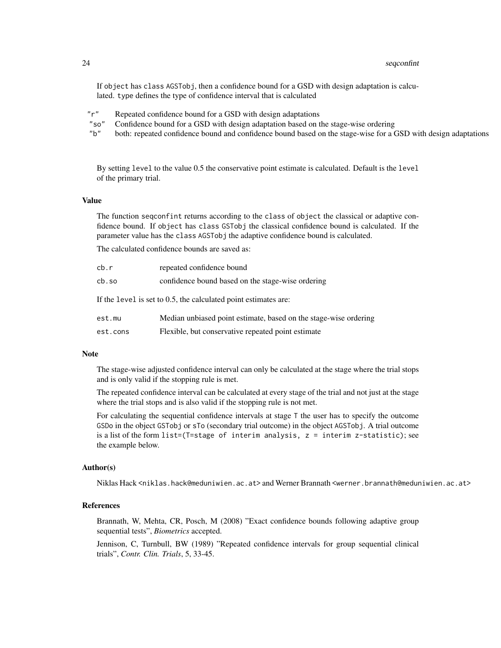If object has class AGSTobj, then a confidence bound for a GSD with design adaptation is calculated. type defines the type of confidence interval that is calculated

- "r" Repeated confidence bound for a GSD with design adaptations
- "so" Confidence bound for a GSD with design adaptation based on the stage-wise ordering
- "b" both: repeated confidence bound and confidence bound based on the stage-wise for a GSD with design adaptations

By setting level to the value 0.5 the conservative point estimate is calculated. Default is the level of the primary trial.

#### Value

The function seqconfint returns according to the class of object the classical or adaptive confidence bound. If object has class GSTobj the classical confidence bound is calculated. If the parameter value has the class AGSTobj the adaptive confidence bound is calculated.

The calculated confidence bounds are saved as:

| cb.r                                                            | repeated confidence bound                                        |  |
|-----------------------------------------------------------------|------------------------------------------------------------------|--|
| cb.so                                                           | confidence bound based on the stage-wise ordering                |  |
| If the level is set to 0.5, the calculated point estimates are: |                                                                  |  |
| est.mu                                                          | Median unbiased point estimate, based on the stage-wise ordering |  |

est.cons Flexible, but conservative repeated point estimate

#### Note

The stage-wise adjusted confidence interval can only be calculated at the stage where the trial stops and is only valid if the stopping rule is met.

The repeated confidence interval can be calculated at every stage of the trial and not just at the stage where the trial stops and is also valid if the stopping rule is not met.

For calculating the sequential confidence intervals at stage T the user has to specify the outcome GSDo in the object GSTobj or sTo (secondary trial outcome) in the object AGSTobj. A trial outcome is a list of the form list=(T=stage of interim analysis, z = interim z-statistic); see the example below.

#### Author(s)

Niklas Hack <niklas.hack@meduniwien.ac.at> and Werner Brannath <werner.brannath@meduniwien.ac.at>

## References

Brannath, W, Mehta, CR, Posch, M (2008) "Exact confidence bounds following adaptive group sequential tests", *Biometrics* accepted.

Jennison, C, Turnbull, BW (1989) "Repeated confidence intervals for group sequential clinical trials", *Contr. Clin. Trials*, 5, 33-45.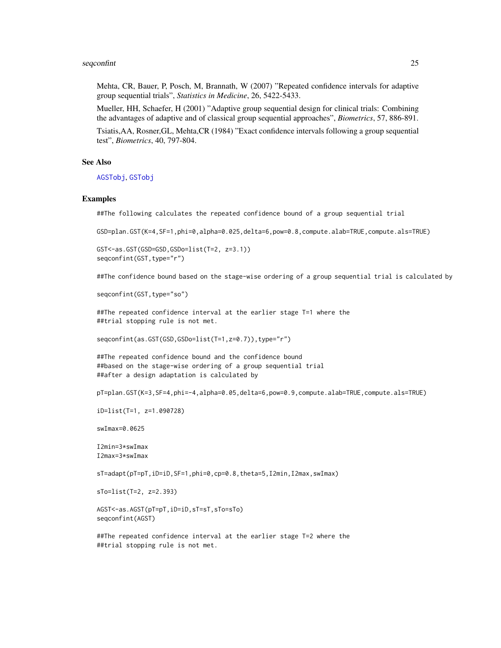#### <span id="page-24-0"></span>seqconfint 25

Mehta, CR, Bauer, P, Posch, M, Brannath, W (2007) "Repeated confidence intervals for adaptive group sequential trials", *Statistics in Medicine*, 26, 5422-5433.

Mueller, HH, Schaefer, H (2001) "Adaptive group sequential design for clinical trials: Combining the advantages of adaptive and of classical group sequential approaches", *Biometrics*, 57, 886-891.

Tsiatis,AA, Rosner,GL, Mehta,CR (1984) "Exact confidence intervals following a group sequential test", *Biometrics*, 40, 797-804.

#### See Also

[AGSTobj](#page-6-1), [GSTobj](#page-14-1)

#### Examples

##The following calculates the repeated confidence bound of a group sequential trial

GSD=plan.GST(K=4,SF=1,phi=0,alpha=0.025,delta=6,pow=0.8,compute.alab=TRUE,compute.als=TRUE)

GST<-as.GST(GSD=GSD,GSDo=list(T=2, z=3.1)) seqconfint(GST, type="r")

##The confidence bound based on the stage-wise ordering of a group sequential trial is calculated by

seqconfint(GST,type="so")

##The repeated confidence interval at the earlier stage T=1 where the ##trial stopping rule is not met.

segconfint(as.GST(GSD,GSDo=list(T=1,z=0.7)),type="r")

##The repeated confidence bound and the confidence bound ##based on the stage-wise ordering of a group sequential trial ##after a design adaptation is calculated by

pT=plan.GST(K=3,SF=4,phi=-4,alpha=0.05,delta=6,pow=0.9,compute.alab=TRUE,compute.als=TRUE)

iD=list(T=1, z=1.090728)

swImax=0.0625

I2min=3\*swImax I2max=3\*swImax

sT=adapt(pT=pT,iD=iD,SF=1,phi=0,cp=0.8,theta=5,I2min,I2max,swImax)

sTo=list(T=2, z=2.393)

AGST<-as.AGST(pT=pT,iD=iD,sT=sT,sTo=sTo) seqconfint(AGST)

##The repeated confidence interval at the earlier stage T=2 where the ##trial stopping rule is not met.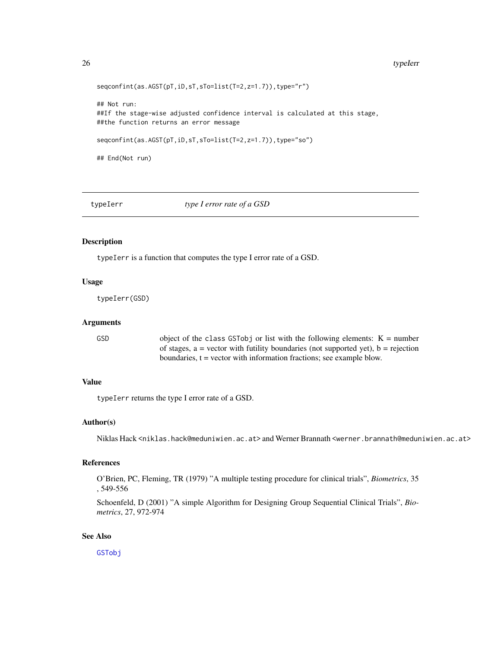#### <span id="page-25-0"></span>26 typeIerr

```
seqconfint(as.AGST(pT,iD,sT,sTo=list(T=2,z=1.7)),type="r")
## Not run:
##If the stage-wise adjusted confidence interval is calculated at this stage,
##the function returns an error message
seqconfint(as.AGST(pT,iD,sT,sTo=list(T=2,z=1.7)),type="so")
## End(Not run)
```
typeIerr *type I error rate of a GSD*

### Description

typeIerr is a function that computes the type I error rate of a GSD.

### Usage

typeIerr(GSD)

#### Arguments

GSD object of the class GSTobj or list with the following elements:  $K =$  number of stages,  $a =$  vector with futility boundaries (not supported yet),  $b =$  rejection boundaries,  $t =$  vector with information fractions; see example blow.

#### Value

typeIerr returns the type I error rate of a GSD.

## Author(s)

Niklas Hack <niklas.hack@meduniwien.ac.at> and Werner Brannath <werner.brannath@meduniwien.ac.at>

#### References

O'Brien, PC, Fleming, TR (1979) "A multiple testing procedure for clinical trials", *Biometrics*, 35 , 549-556

Schoenfeld, D (2001) "A simple Algorithm for Designing Group Sequential Clinical Trials", *Biometrics*, 27, 972-974

## See Also

[GSTobj](#page-14-1)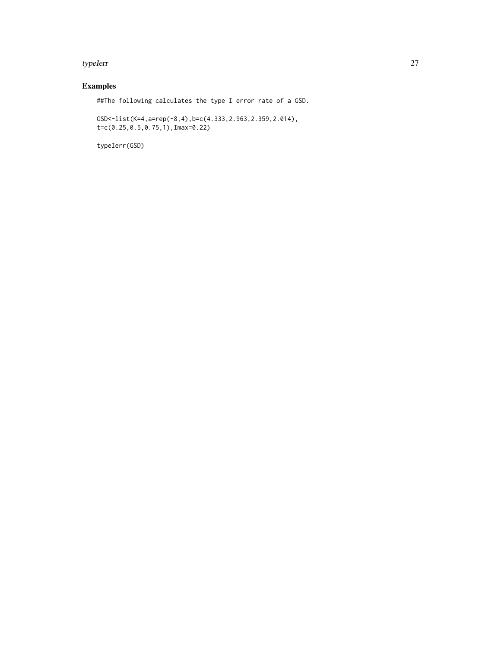#### typeIerr 27

## Examples

##The following calculates the type I error rate of a GSD.

GSD<-list(K=4,a=rep(-8,4),b=c(4.333,2.963,2.359,2.014), t=c(0.25,0.5,0.75,1),Imax=0.22)

typeIerr(GSD)